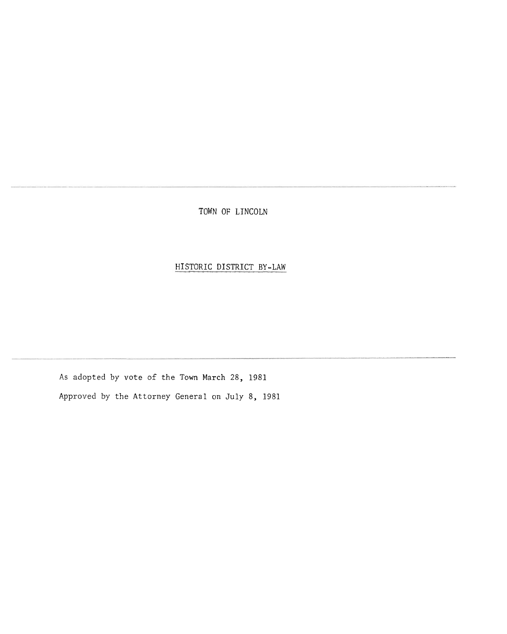TOWN OF LINCOLN

## HISTORIC DISTRICT BY-LAW

**As** adopted by vote of the Town March 28, 1981 Approved by the Attorney General on July 8, 1981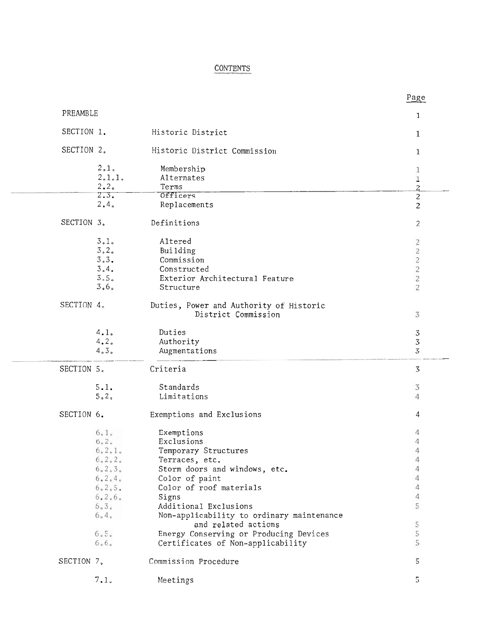## **CONTENTS**

|            |              | CONTENTS                                                           |                           |
|------------|--------------|--------------------------------------------------------------------|---------------------------|
|            |              |                                                                    | Page                      |
| PREAMBLE   |              |                                                                    |                           |
|            |              |                                                                    | 1                         |
| SECTION 1. |              | Historic District                                                  | 1                         |
| SECTION 2. |              | Historic District Commission                                       | 1                         |
|            | 2.1.         | Membership                                                         | 1                         |
|            | 2.1.1.       | Alternates                                                         | $\frac{1}{2}$             |
|            | 2.2.         | Terms                                                              |                           |
|            | 2.3.         | Officers                                                           | $\overline{2}$            |
|            | 2.4.         | Replacements                                                       | $\overline{c}$            |
| SECTION 3. |              | Definitions                                                        | 2                         |
|            | 3.1.         | Altered                                                            | $\overline{c}$            |
|            | 3.2.         | Building                                                           | $\overline{c}$            |
|            | 3.3.         | Commission                                                         | $\overline{c}$            |
|            | 3.4.         | Constructed                                                        | $\overline{c}$            |
|            | 3.5.         | Exterior Architectural Feature                                     | $\overline{c}$            |
|            | $3,6$ ,      | Structure                                                          | $\overline{2}$            |
| SECTION 4. |              | Duties, Power and Authority of Historic<br>District Commission     | 3                         |
|            |              |                                                                    |                           |
|            | 4.1.         | Duties                                                             | $\mathfrak{Z}$            |
|            | 4.2.         | Authority                                                          | $\ensuremath{\mathbf{3}}$ |
|            | 4.3.         | Augmentations                                                      | 3                         |
| SECTION 5. |              | Criteria                                                           | 3                         |
|            | 5.1.         | Standards                                                          | $\sqrt{3}$                |
|            | 5.2.         | Limitations                                                        | $\overline{4}$            |
|            |              |                                                                    |                           |
| SECTION 6. |              | Exemptions and Exclusions                                          | 4                         |
|            | 6.1.         | Exemptions                                                         | 4                         |
|            | 6.2.         | Exclusions                                                         | $\overline{4}$            |
|            | 6.2.1.       | Temporary Structures                                               | $\overline{4}$            |
|            | 6.2.2.       | Terraces, etc.                                                     | $\overline{4}$            |
|            | 6.2.3.       | Storm doors and windows, etc.                                      | $\overline{4}$            |
|            | 6.2.4.       | Color of paint                                                     | 4                         |
|            | 6.2.5.       | Color of roof materials                                            | $\overline{4}$            |
|            | 6.2.6.       | Signs                                                              | 4                         |
|            | 6.3.<br>6.4. | Additional Exclusions<br>Non-applicability to ordinary maintenance | 5                         |
|            |              | and related actions                                                | 5                         |
|            | 6.5.         | Energy Conserving or Producing Devices                             | 5                         |
|            | 6.6.         | Certificates of Non-applicability                                  | 5                         |
|            |              | Commission Procedure                                               | 5                         |
| SECTION 7. |              |                                                                    |                           |
|            | 7.1.         | Meetings                                                           | 5                         |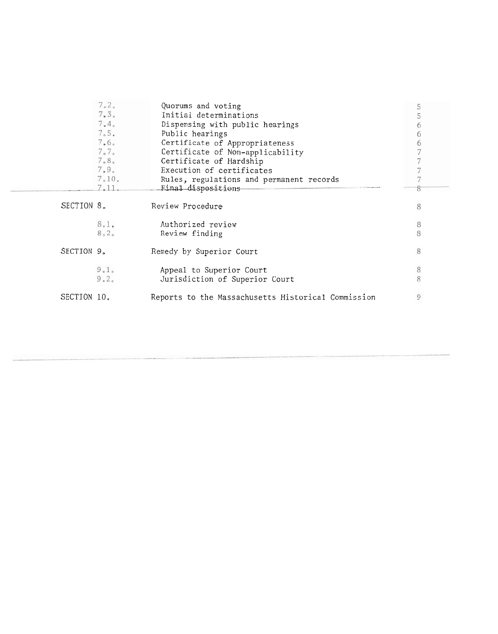| 7.2.                | Quorums and voting                                 | 5       |
|---------------------|----------------------------------------------------|---------|
| 7.3 <sub>o</sub>    | Initial determinations                             | 5       |
| 7.4.                | Dispensing with public hearings                    | 6       |
| 7.5.                | Public hearings                                    | 6       |
| 7.6 <sub>o</sub>    | Certificate of Appropriateness                     | 6       |
| $7\degree 7\degree$ | Certificate of Non-applicability                   |         |
| 7.8 <sub>o</sub>    | Certificate of Hardship                            |         |
| 7.9 <sub>o</sub>    | Execution of certificates                          |         |
| 7.10.               | Rules, regulations and permanent records           |         |
|                     | 7.11. Final dispositions                           | 8       |
|                     |                                                    |         |
| SECTION 8.          | Review Procedure                                   | 8       |
|                     |                                                    |         |
| 8.1.                | Authorized review                                  | $\,8\,$ |
| 8.2.                | Review finding                                     | 8       |
|                     |                                                    |         |
| SECTION 9.          | Remedy by Superior Court                           | 8       |
|                     |                                                    |         |
| 9.1 <sub>o</sub>    | Appeal to Superior Court                           | $\,8$   |
| 9.2 <sub>o</sub>    | Jurisdiction of Superior Court                     | 8       |
|                     |                                                    |         |
| SECTION 10.         | Reports to the Massachusetts Historical Commission | 9       |
|                     |                                                    |         |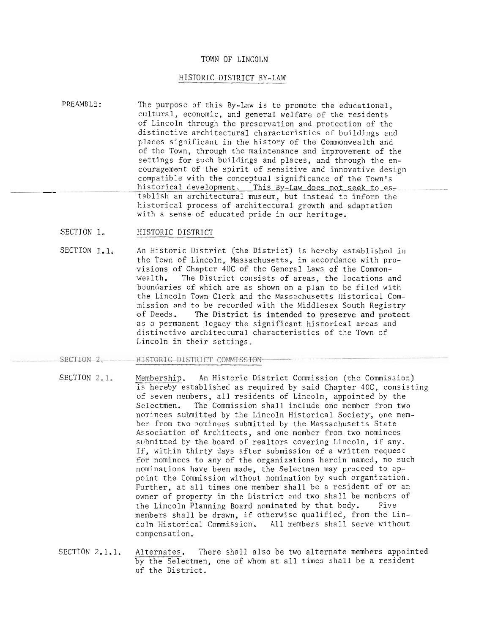#### TOWN OF LINCOLN

### HISTORIC DISTRICT BY-LAW

- PREAMBLE: The purpose of this By-Law is to promote the educational, cultural, economic, and general welfare of the residents of Lincoln through the preservation and protection of the distinctive architectural characteristics of buildings and places significant in the history of the Commonwealth and of the Town, through the maintenance and improvement of the settings for such buildings and places, and through the encouragement of the spirit of sensitive and innovative design compatible with the conceptual significance of the Town's historical development. This By-Law does not seek to es-<br>tablish an architectural museum, but instead to inform the historical process of architectural growth and adaptation with a sense of educated pride in our heritage.
	- SECTION 1. HISTORIC DISTRICT
	- SECTION 1.1, An Historic District (the District) is hereby established in the Town of Lincoln, Massachusetts, in accordance with provisions of Chapter 40C of the General Laws of the Commonwealth. The District consists of areas, the locations and boundaries of which are as shown on a plan to be filed with the Lincoln Town Clerk and the Massachusetts Historical Commission and to be recorded with the Middlesex South Registry<br>of Deeds. The District is intended to preserve and protect The District is intended to preserve and protect as a permanent legacy the significant historical areas and distinctive architectural characteristics of the Town of Lincoln in their settings.
- 
- SECTION 2. HISTORIC DISTRICT COMMISSION<br>SECTION 2.1. Membership. An Historic District Commission (the Commission) is hereby established as required by said Chapter 40C, consisting of seven members, all residents of Lincoln, appointed by the Selectmen. The Commission shall include one member from two nominees submitted by the Lincoln Historical Society, one member from two nominees submitted by the Massachusetts State Association of Architects, and one member from two nominees submitted by the board of realtors covering Lincoln, if any. If, within thirty days after submission of a written request for nominees to any of the organizations herein named, no such nominations have been made, the Selectmen may proceed to appoint the Commission without nomination by such organization. Further, at all times one member shall be a resident of or an owner of property in the District and two shall be members of the Lincoln Planning Board nominated by that body. Five members shall be drawn, if otherwise qualified, from the Lincoln Historical Commission, All members shall serve without compensat ion.
	- SECTION 2.1.1. Alternates. There shall also be two alternate members appointed by the Selectmen, one of whom at all times shall be a resident of the District,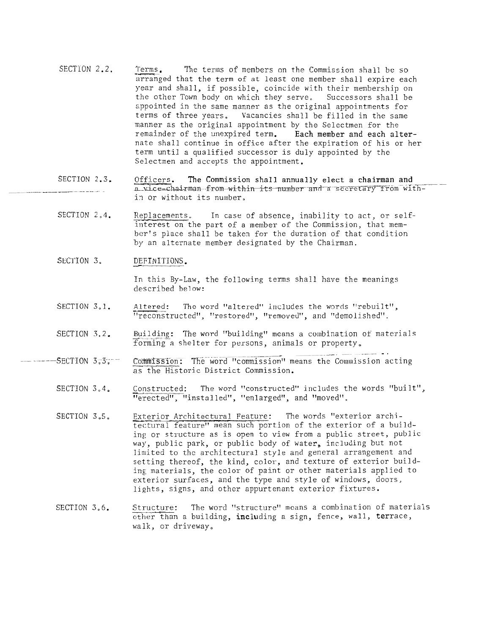- SECTION 2.2. Terms. The terms of members on the Commission shall be so arranged that the term of at least one member shall expire each year and shall, if possible, coincide with their membership on the other Town body on which they serve. Successors shall be s.ppointed in the same manner as the original appointments for terms of three years, Vacancies shall be filled in the same manner as the original appointment by the Selectmen for the remainder of the unexpired term. Each member and each alternate shall continue in office after the expiration of his or her term until a qualified successor is duly appointed by the Selectmen and accepts the appointment.
- SECTION 2.3. \_\_\_\_\_\_ - \_\_ --- - - Officers. The Commission shall annually elect a chairman and a vice=chairman -from-within its number and a secretary from within or without its number.
- SECTION 2.4. Replacements. In case of absence, inability to act, or selfinterest on the part of a member of the Commission, that member's place shall be taken for the duration of that condition by an alternate member designated by the Chairman.
- SECTION 3. DEFINITIONS.

In this By-Law, the following terms shall have the meanings described below:

- SECTION 3.1. Altered: The word "altered" includes the words "rebuilt", "reconstructed", "restored", "removed", and "demolished".
- SECTION 3.2.
- $-$ SECTION 3.3.; Building: The word "building" means a combination of materials<br>forming a shelter for persons, animals or property.<br>Commission: The word "commission" means the Commission acting<br>as the Historic District Commission.  $\tau$ as the Historic District Commission.
	- SECTION 3,4. Constructed: The word "constructed" includes the words "built", "erected", "installed", "enlarged", and "moved".
	- SECTION 3.5. Exterior Architectural Feature: The words "exterior architectural feature" mean such'portion of the exterior of a building or structure as is open to view from a public street, public way, public park, or public body of water, including but not limited to the architectural style and general arrangement and setting thereof, the kind, color, and texture of exterior building, materials, the color of paint or other materials applied to exterior surfaces, and the type and style of windows, doors, lights, signs, and other appurtenant exterior fixtures.
	- SECTION 3.6. exterior surfaces, and the type and style of windows, doors,<br>lights, signs, and other appurtenant exterior fixtures.<br>Structure: The word "structure" means a combination of materials<br>other than a building, including a sign, walk, or driveway,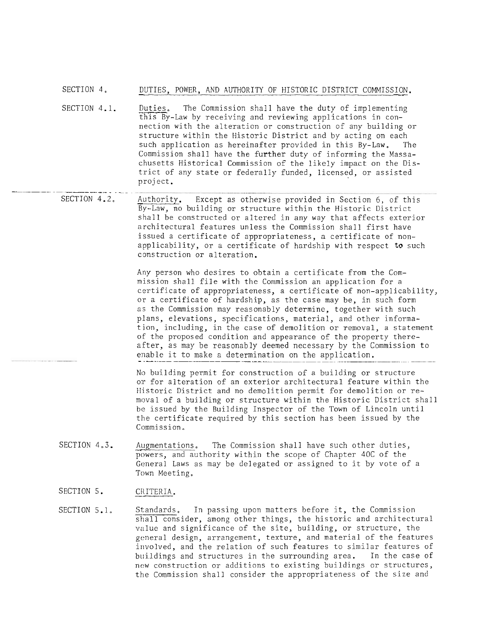# SECTION 4. DUTIES, POWER, AND AUTHORITY OF HISTORIC DISTRICT COMMISSION.<br>Duties. The Commission shall have the duty of implementing

- SECTION 4.1. - - - - - - - - - - -. - . - . - . . - - - . The Commission shall have the duty of implementing this By-Law by receiving and reviewing applications in connection with the alteration or construction of any building or structure within the Historic District and by acting on each such application as hereinafter provided in this By-Law. The Commission shall have the further duty of informing the Massachusetts Historical Commission of the likely impact on the District of any state or federally funded, licensed, or assisted proj ect .
	- SECTION 4.2. Authority. Except as otherwise provided in Section 6, of this By-Law, no building or structure within the Historic District shall be constructed or altered in any way that affects exterior architectural features unless the Commission shall first have issued a certificate of appropriateness, a certificate of nonapplicability, or a certificate of hardship with respect to such construction or alteration.

Any person who desires to obtain a certificate from the Commission shall file with the Commission an application for a certificate of appropriateness, a certificate of non-applicability, or a certificate of hardship, as the case may be, in such form as the Commission may reasonably determine, together with such plans, elevations, specifications, material, and other information, including, in the case of demolition or removal, a statement of the proposed condition and appearance of the property thereafter, as may be reasonably deemed necessary by the Commission to enable it to make a determination on the application.

No building permit for construction of a building or structure or for alteration of an exterior architectural feature within the Historic District and no demolition permit for demolition or removal of a building or structure within the Historic District shall be issued by the Building Inspector of the Town of Lincoln until the certificate required by this section has been issued by the Commission,

- SECTION 4.3. Augmentations. The Commission shall have such other duties, powers, and authority within the scope of Chapter 40C of the General Laws as may be delegated or assigned to it by vote of a<br>Town Meeting.<br>CRITERIA. Town Meeting.
- SECTION 5.
- SECTION 5.1. Standards. In passing upon matters before it, the Commission shall consider, among other things, the historic and architectural value and significance of the site, building, or structure, the general design, arrangement, texture, and material of the features involved, and the relation of such features to similar features of buildings and structures in the surrounding area. In the case of new construction or additions to existing buildings or structures, the Commission shall consider the appropriateness of the size and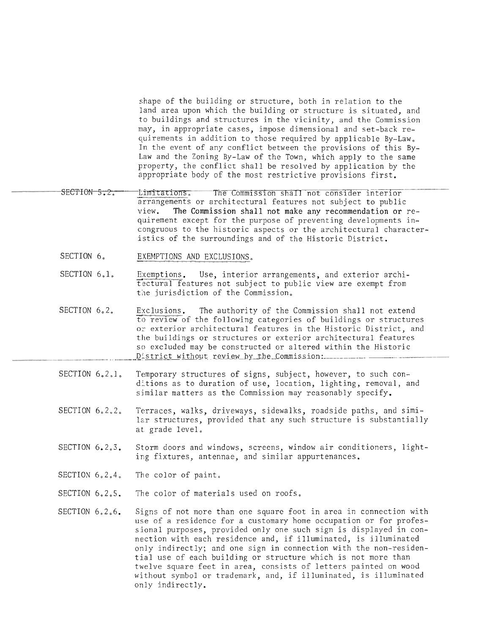shape of the building or structure, both in relation to the land area upon which the building or structure is situated, and to buildings and structures in the vicinity, and the Commission may, in appropriate cases, impose dimensional and set-back requirements in addition to those required by applicable By-Law, In the event of any conflict between the provisions of this By-Law and the Zoning By-Law of the Town, which apply to the same property, the conflict shall be resolved by application by the appropriate body of the most restrictive provisions first.

- SECTION 5.2. Limitations, The Commission shall not consider interior arrangements or architectural features not subject to public view. The Commission shall not make any recommendation or requirement except for the purpose of preventing developments incongruous to the historic aspects or the architectural characteristics of the surroundings and of the Historic District.
	- SECTION 6. EXEMPTIONS AND EXCLUSIONS.
	- SECTION 6.1. Exemptions. Use, interior arrangements, and exterior architectural features not subject to public view are exempt from the jurisdiction of the Commission.
	- SECTION 6.2. Exclusions. The authority of the Commission shall not extend<br>to review of the following categories of buildings or structures or exterior architectural features in the Historic District, and the buildings or structures or exterior architectural features so excluded may be constructed or altered within the Historic District without review by the Commission:
	- SECTION 6,2,1. Temporary structures of signs, subject, however, to such conditions as to duration of use, location, lighting, removal, and similar matters as the Commission may reasonably specify.
	- SECTION 6.2,2, Terraces, walks, driveways, sidewalks, roadside paths, and similar structures, provided that any such structure is substantially at grade level.
	- SECTION 6.2.3. Storm doors and windows, screens, window air conditioners, lighting fixtures, antennae, and similar appurtenances.
	- SECTION 6,2,4, The color of paint,
	- SECTION 6.2,5. The color of materials used on roofs,
	- SECTION 6,2,6. Signs of not more than one square foot in area in connection with use of a residence for a customary home occupation or for professional purposes, provided only one such sign is displayed in connection with each residence and, if illuminated, is illuminated only indirectly; and one sign in connection with the non-residential use of each building or structure which is not more than twelve square feet in area, consists of letters painted on wood without symbol or trademark, and, if illuminated, is illuminated only indirectly.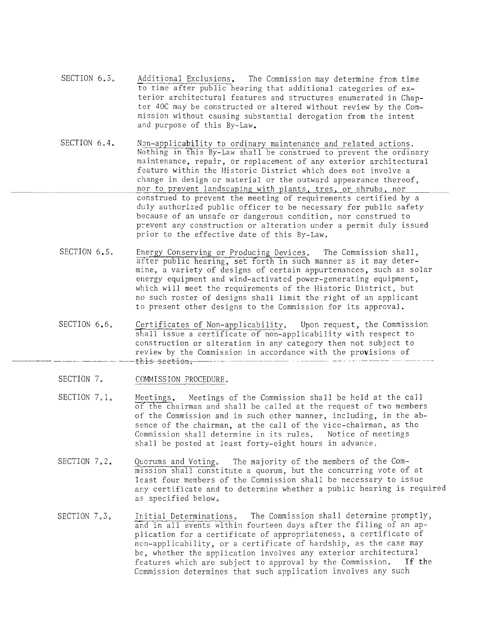- SECTION 6.3. Additional Exclusions. The Commission may determine from time to time after public hearing that additional categories of exterior architectural features and structures enumerated in Chapter 40C may be constructed or altered without review by the Commission without causing substantial derogation from the intent and purpose of this By-Law.
- SECTION 6.4. Non-applicability to ordinary maintenance and related actions.<br>Nothing in this By-Law shall be construed to prevent the ordinary maintenance, repair, or replacement of any exterior architectural feature within the Historic District which does not involve a change in design or material or the outward appearance thereof, nor to prevent landscaping with plants, tres, or shrubs, nor construed to prevent the meeting of requirements certified by a duly authorized public officer to be necessary for public safety because of an unsafe or dangerous condition, nor construed to prevent any construction or alteration under a permit duly issued prior to the effective date of this By-Law,
- SECTION 6.5. Energy Conserving or Producing Devices. The Commission shall, after public hearing, set forth in such manner as it may determine, a variety of designs of certain appurtenances, such as solar energy equipment and wind-activated power-generating equipment, which will meet the requirements of the Historic District, but no such roster of designs shall limit the right of an applicant to present other designs to the Commission for its approval.
- SECTION 6.6, Certificates of Non-applicability, Upon request, the Commission shall issue a certificate of non-applicability with respect to construction or alteration in any category then not subject to review by the Commission in accordance with the provisions of - - - - -. - - - . -. -t+,i.s. seet-isn ,---- - - - -- - - - - - --
- SECTION 7. COMMISSION PROCEDURE.
- SECTION 7.1. Meetings. Meetings of the Commission shall be held at the call of the chairman and shall be called at the request of two members of the Commission and in such other manner, including, in the absence of the chairman, at the call of the vice-chairman, as the Commission shall determine in its rules, Notice of meetings shall be posted at least forty-eight hours in advance.
- SECTION 7.2. Quorums and Voting. The majority of the members of the Commission shall constitute a quorum, but the concurring vote of at least four members of the Commission shall be necessary to issue any certificate and to determine whether a public hearing is required as specified below.
- SECTION 7.3. Initial Determinations. The Commission shall determine promptly, and in all events within fourteen days after the filing of an application for a certificate of appropriateness, a certificate of non-applicability, or a certificate of hardship, as the case may be, whether the application involves any exterior architectural<br>features which are subject to approval by the Commission. If the features which are subject to approval by the Commission. Ccmmission determines that such application involves any such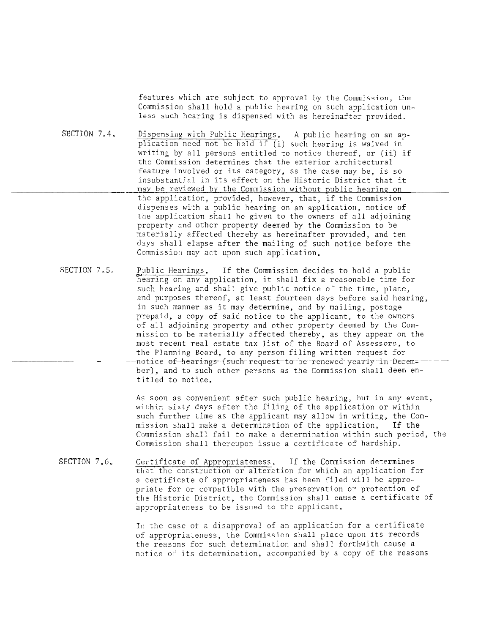features which are subject to approval by the Commission, the Commission shall hold a public hearing on such application unless such hearing is dispensed with as hereinafter provided.

SECTION 7.4. Dispensing with Public Hearings. A public hearing on an application need not be held if (i) such hearing is waived in writing by all persons entitled to notice thereof, or (ii) if the Commission determines that the exterior architectural feature involved or its category, as the case may be, is so insubstantial in its effect on the Historic District that it may be reviewed by the Commission without public hearing on the application, provided, however, that, if the Commission dispenses with a public hearing on an application, notice of the application shall be given to the owners of all adjoining property and other property deemed by the Commission to be materially affected thereby as hereinafter provided, and ten days shall elapse after the mailing of such notice before the Commission may act upon such application.

SECTION 7.5, Public Hearings. If the Commission decides to hold a public hearing on any application, it shall. fix a reasonable time for such hearing and shall give public notice of the time, place, and purposes thereof, at least fourteen days before said hearing, in such manner as it may determine, and by mailing, postage prepaid, a copy of said notice to the applicant, to the owners of all adjoining property and other property deemed by the Commission to be materially affected thereby, as they appear on the most recent real estate tax list of the Board of Assessors, to the Planning Board, to any person filing written request for<br>notice of-hearings (such request-to be renewed- yearly in Decem=ber), and to such other persons as the Commission shall deem entitled to notice.

> As soon as convenient after such public hearing, but in any event, within sixty days after the filing of the application or within such further time as the applicant may allow in writing, the Commission shall make a determination of the application. If the Commission shall fail to make a determination within such period, the Commission shall thereupon issue a certificate of hardship.

SECTION 7.6, Certificate of Appropriateness, If the Commission determines that the construction or alteration for which an application for a certificate of appropriateness has been filed will be appropriate for or compatible with the preservation or protection of the Historic District, the Commission shall cause a certificate of appropriateness to be issued to the applicant.

> In the case of a disapproval of an application for a certificate of appropriateness, the Commission shall place upon its records the reasons for such determination and shall forthwith cause a notice of its determination, accompanied by a copy of the reasons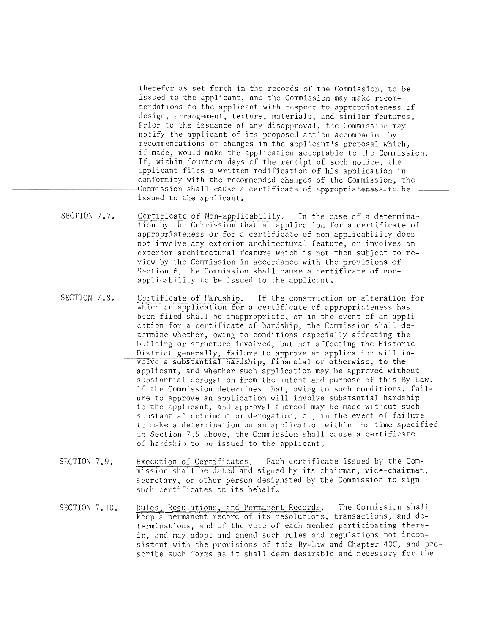therefor as set forth in the records of the Commission, to be issued to the applicant, and the Commission may make recommendations to the applicant with respect to appropriateness of design, arrangement, texture, materials, and similar features. Prior to the issuance of any disapproval, the Commission may notify the applicant of its proposed action accompanied by recommendations of changes in the applicant's proposal which, if made, would make the application acceptable to the Commission. If, within fourteen days of the receipt of such notice, the applicant files a written modification of his application in canformity with the recommended changes of the Commission, the Commission shall cause a certificate of appropriateness to be issued to the applicant.

- SECTION 7.7. Certificate of Non-applicability. In the case of a determination by the Commission that an application for a certificate of appropriateness or for a certificate of non-applicability does not involve any exterior architectural feature, or involves an exterior architectural feature which is not then subject to review by the Commission in accordance with the provisions of Section 6, the Commission shall cause a certificate of nonapplicability to be issued to the applicant,
- SECTION 7.8, Certificate of Hardship. If the construction or alteration for which an application for a certificate of appropriateness has been filed shall be inappropriate, or in the event of an application for a certificate of hardship, the Commission shall determine whether, owing to conditions especially affecting the building or structure involved, but not affecting the Historic District generally, failure to approve an application will involve a substantial hardship, financial or otherwise, to the applicant, and whether such application may be approved without substantial derogation from the intent and purpose of this By-Law. IF the Commission determines that, owing to such conditions, failure to approve an application will involve substantial hardship to the applicant, and approval thereof may be made without such substantial detriment or derogation, or, in the event of failure to make a determination on an application within the time specified in Section 7.5 above, the Commission shall cause a certificate OF hardship to be issued to the applicant.
	- SECTION 7.9. Execution of Certificates, Each certificate issued by the Com-<br>mission shall be dated and signed by its chairman, vice-chairman, secretary, or other person designated by the Commission to sign such certificates on its behalf.
	- SECTION 7.10. Rules, Regulations, and Permanent Records. The Commission shall<br>keep a permanent record of its resolutions, transactions, and determinations, and of the vote of each member participating therein, and may adopt and amend such rules and regulations not inconsistent with the provisions of this By-Law and Chapter 40C, and preszribe such forms as it shall deem desirable and necessary for the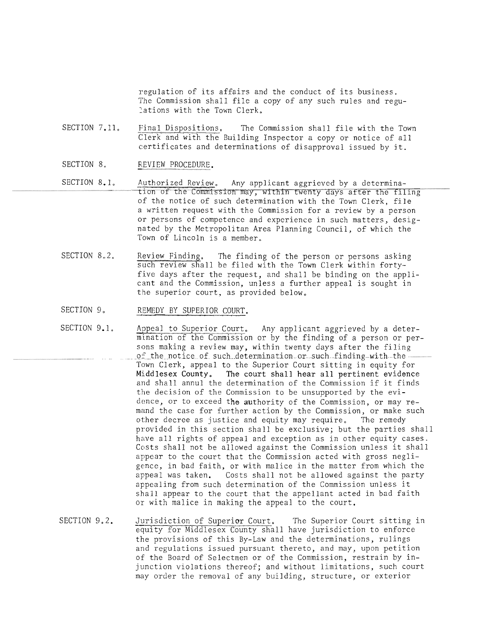regulation of its affairs and the conduct of its business. The Commission shall file a copy of any such rules and regulations with the Town Clerk.

SECTION 7.11, Final Dispositions, The Commission shall file with the Town Clerk and with the Building Inspector a copy or notice of all certificates and determinations of disapproval issued by it.

- SECTION 8. REVIEW PROCEDURE.
- SECTION 8.1, Authorized Review, Any applicant aggrieved by a determination of the Commission may, within twenty days after the filing of the notice of such determination with the Town Clerk, file a written request with the Commission for a review by a person or persons of competence and experience in such matters, designated by the Metropolitan Area Planning Council, of which the Town of Lincoln is a member,
	- SECTION 8.2. Review Finding. The finding of the person or persons asking such review shall be filed with the Town Clerk within fortyfive days after the request, and shall be binding on the applicant and the Commission, unless a further appeal is sought in the superior court, as provided below,
- SECTION 9. REMEDY BY SUPERIOR COURT.
- SECTION 9.1. Appeal to Superior Court. Any applicant aggrieved by a determination of the Commission or by the finding of a person or persons making a review may, within twenty days after the filing  $~0.6~$  the notice of such determination or such-finding-with-the-Town Clerk, appeal to the Superior Court sitting in equity for Middlesex County, The court shall hear all pertinent evidence and shall annul the determination of the Commission if it finds the decision of the Commission to be unsupported by the evidence, or to exceed the authority of the Commission, or may remand the case for further action by the commission, or make such other decree as justice and equity may require, The remedy provided in this section shall be exclusive; but the parties shall have all rights of appeal and exception as in other equity cases. Costs shall not be allowed against the Commission unless it shall appear to the court that the Commission acted with gross negligence, in bad faith, or with malice in the matter from which the appeal was taken. Costs shall not be allowed against the party appealing from such determination of the Commission unless it shall appear to the court that the appellant acted in bad faith or with malice in making the appeal to the court.
- SECTION 9.2. Jurisdiction of Superior Court. The Superior Court sitting in equity for Middlesex County shall have jurisdiction to enforce the provisions of this By-Law and the determinations, rulings and regulations issued pursuant thereto, and may, upon petition of the Board of Selectmen or of the Commission, restrain by injunction violations thereof; and without limitations, such court may order the removal of any building, structure, or exterior